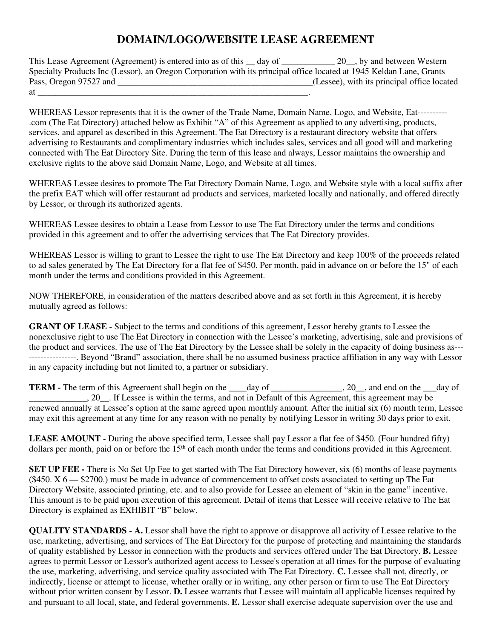## **DOMAIN/LOGO/WEBSITE LEASE AGREEMENT**

This Lease Agreement (Agreement) is entered into as of this \_\_ day of \_\_\_\_\_\_\_\_\_\_\_ 20\_, by and between Western Specialty Products Inc (Lessor), an Oregon Corporation with its principal office located at 1945 Keldan Lane, Grants Pass, Oregon 97527 and \_\_\_\_\_\_\_\_\_\_\_\_\_\_\_\_\_\_\_\_\_\_\_\_\_\_\_\_\_\_\_\_\_\_\_\_\_\_\_\_\_\_\_\_(Lessee), with its principal office located at  $\qquad \qquad$ 

WHEREAS Lessor represents that it is the owner of the Trade Name, Domain Name, Logo, and Website, Eat----------.com (The Eat Directory) attached below as Exhibit "A" of this Agreement as applied to any advertising, products, services, and apparel as described in this Agreement. The Eat Directory is a restaurant directory website that offers advertising to Restaurants and complimentary industries which includes sales, services and all good will and marketing connected with The Eat Directory Site. During the term of this lease and always, Lessor maintains the ownership and exclusive rights to the above said Domain Name, Logo, and Website at all times.

WHEREAS Lessee desires to promote The Eat Directory Domain Name, Logo, and Website style with a local suffix after the prefix EAT which will offer restaurant ad products and services, marketed locally and nationally, and offered directly by Lessor, or through its authorized agents.

WHEREAS Lessee desires to obtain a Lease from Lessor to use The Eat Directory under the terms and conditions provided in this agreement and to offer the advertising services that The Eat Directory provides.

WHEREAS Lessor is willing to grant to Lessee the right to use The Eat Directory and keep 100% of the proceeds related to ad sales generated by The Eat Directory for a flat fee of \$450. Per month, paid in advance on or before the 15" of each month under the terms and conditions provided in this Agreement.

NOW THEREFORE, in consideration of the matters described above and as set forth in this Agreement, it is hereby mutually agreed as follows:

**GRANT OF LEASE -** Subject to the terms and conditions of this agreement, Lessor hereby grants to Lessee the nonexclusive right to use The Eat Directory in connection with the Lessee's marketing, advertising, sale and provisions of the product and services. The use of The Eat Directory by the Lessee shall be solely in the capacity of doing business as--- ----------------. Beyond "Brand" association, there shall be no assumed business practice affiliation in any way with Lessor in any capacity including but not limited to, a partner or subsidiary.

**TERM -** The term of this Agreement shall begin on the \_\_\_\_day of \_\_\_\_\_\_\_\_\_\_\_\_, 20\_, and end on the \_\_day of 20 Ressee is within the terms, and not in Default of this Agreement, this agreement may be renewed annually at Lessee's option at the same agreed upon monthly amount. After the initial six (6) month term, Lessee may exit this agreement at any time for any reason with no penalty by notifying Lessor in writing 30 days prior to exit.

**LEASE AMOUNT -** During the above specified term, Lessee shall pay Lessor a flat fee of \$450. (Four hundred fifty) dollars per month, paid on or before the  $15<sup>th</sup>$  of each month under the terms and conditions provided in this Agreement.

**SET UP FEE -** There is No Set Up Fee to get started with The Eat Directory however, six (6) months of lease payments  $(450. X 6 - 2700)$  must be made in advance of commencement to offset costs associated to setting up The Eat Directory Website, associated printing, etc. and to also provide for Lessee an element of "skin in the game" incentive. This amount is to be paid upon execution of this agreement. Detail of items that Lessee will receive relative to The Eat Directory is explained as EXHIBIT "B" below.

**QUALITY STANDARDS - A.** Lessor shall have the right to approve or disapprove all activity of Lessee relative to the use, marketing, advertising, and services of The Eat Directory for the purpose of protecting and maintaining the standards of quality established by Lessor in connection with the products and services offered under The Eat Directory. **B.** Lessee agrees to permit Lessor or Lessor's authorized agent access to Lessee's operation at all times for the purpose of evaluating the use, marketing, advertising, and service quality associated with The Eat Directory. **C.** Lessee shall not, directly, or indirectly, license or attempt to license, whether orally or in writing, any other person or firm to use The Eat Directory without prior written consent by Lessor. **D.** Lessee warrants that Lessee will maintain all applicable licenses required by and pursuant to all local, state, and federal governments. **E.** Lessor shall exercise adequate supervision over the use and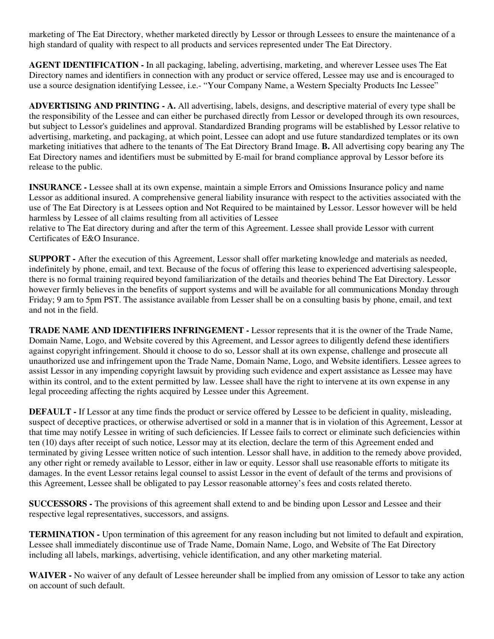marketing of The Eat Directory, whether marketed directly by Lessor or through Lessees to ensure the maintenance of a high standard of quality with respect to all products and services represented under The Eat Directory.

**AGENT IDENTIFICATION -** In all packaging, labeling, advertising, marketing, and wherever Lessee uses The Eat Directory names and identifiers in connection with any product or service offered, Lessee may use and is encouraged to use a source designation identifying Lessee, i.e.- "Your Company Name, a Western Specialty Products Inc Lessee"

**ADVERTISING AND PRINTING - A.** All advertising, labels, designs, and descriptive material of every type shall be the responsibility of the Lessee and can either be purchased directly from Lessor or developed through its own resources, but subject to Lessor's guidelines and approval. Standardized Branding programs will be established by Lessor relative to advertising, marketing, and packaging, at which point, Lessee can adopt and use future standardized templates or its own marketing initiatives that adhere to the tenants of The Eat Directory Brand Image. **B.** All advertising copy bearing any The Eat Directory names and identifiers must be submitted by E-mail for brand compliance approval by Lessor before its release to the public.

**INSURANCE -** Lessee shall at its own expense, maintain a simple Errors and Omissions Insurance policy and name Lessor as additional insured. A comprehensive general liability insurance with respect to the activities associated with the use of The Eat Directory is at Lessees option and Not Required to be maintained by Lessor. Lessor however will be held harmless by Lessee of all claims resulting from all activities of Lessee

relative to The Eat directory during and after the term of this Agreement. Lessee shall provide Lessor with current Certificates of E&O Insurance.

**SUPPORT -** After the execution of this Agreement, Lessor shall offer marketing knowledge and materials as needed, indefinitely by phone, email, and text. Because of the focus of offering this lease to experienced advertising salespeople, there is no formal training required beyond familiarization of the details and theories behind The Eat Directory. Lessor however firmly believes in the benefits of support systems and will be available for all communications Monday through Friday; 9 am to 5pm PST. The assistance available from Lesser shall be on a consulting basis by phone, email, and text and not in the field.

**TRADE NAME AND IDENTIFIERS INFRINGEMENT -** Lessor represents that it is the owner of the Trade Name, Domain Name, Logo, and Website covered by this Agreement, and Lessor agrees to diligently defend these identifiers against copyright infringement. Should it choose to do so, Lessor shall at its own expense, challenge and prosecute all unauthorized use and infringement upon the Trade Name, Domain Name, Logo, and Website identifiers. Lessee agrees to assist Lessor in any impending copyright lawsuit by providing such evidence and expert assistance as Lessee may have within its control, and to the extent permitted by law. Lessee shall have the right to intervene at its own expense in any legal proceeding affecting the rights acquired by Lessee under this Agreement.

**DEFAULT -** If Lessor at any time finds the product or service offered by Lessee to be deficient in quality, misleading, suspect of deceptive practices, or otherwise advertised or sold in a manner that is in violation of this Agreement, Lessor at that time may notify Lessee in writing of such deficiencies. If Lessee fails to correct or eliminate such deficiencies within ten (10) days after receipt of such notice, Lessor may at its election, declare the term of this Agreement ended and terminated by giving Lessee written notice of such intention. Lessor shall have, in addition to the remedy above provided, any other right or remedy available to Lessor, either in law or equity. Lessor shall use reasonable efforts to mitigate its damages. In the event Lessor retains legal counsel to assist Lessor in the event of default of the terms and provisions of this Agreement, Lessee shall be obligated to pay Lessor reasonable attorney's fees and costs related thereto.

**SUCCESSORS -** The provisions of this agreement shall extend to and be binding upon Lessor and Lessee and their respective legal representatives, successors, and assigns.

**TERMINATION -** Upon termination of this agreement for any reason including but not limited to default and expiration, Lessee shall immediately discontinue use of Trade Name, Domain Name, Logo, and Website of The Eat Directory including all labels, markings, advertising, vehicle identification, and any other marketing material.

**WAIVER -** No waiver of any default of Lessee hereunder shall be implied from any omission of Lessor to take any action on account of such default.